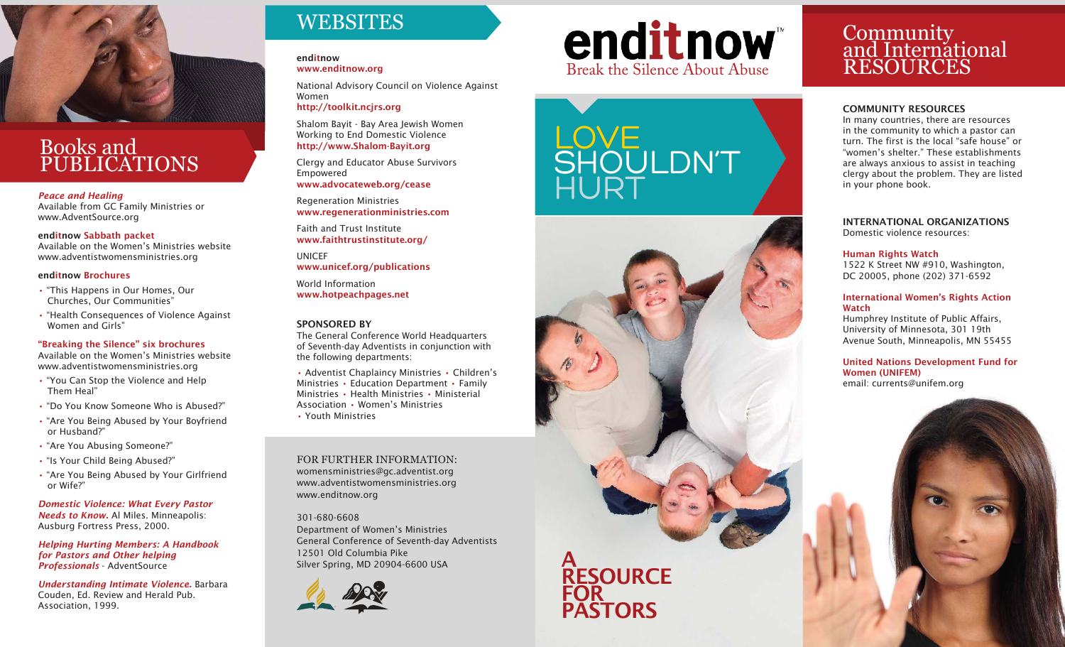

## Books and PUBLICATIONS

*Peace and Healing* 

*Available from GC Family Ministries or www.AdventSource.org*

enditnow Sabbath packet

*Available on the Women's Ministries website www.adventistwomensministries.org* 

#### enditnow Brochures

- • *"This Happens in Our Homes, Our Churches, Our Communities"*
- • *"Health Consequences of Violence Against Women and Girls"*

#### "Breaking the Silence" six brochures

*Available on the Women's Ministries website www.adventistwomensministries.org*

- • *"You Can Stop the Violence and Help Them Heal"*
- • *"Do You Know Someone Who is Abused?"*
- • *"Are You Being Abused by Your Boyfriend or Husband?"*
- • *"Are You Abusing Someone?"*
- • *"Is Your Child Being Abused?"*
- • *"Are You Being Abused by Your Girlfriend or Wife?"*

*Domestic Violence: What Every Pastor Needs to Know. Al Miles. Minneapolis: Ausburg Fortress Press, 2000.*

*Helping Hurting Members: A Handbook for Pastors and Other helping Professionals - AdventSource*

*Understanding Intimate Violence. Barbara Couden, Ed. Review and Herald Pub. Association, 1999.*

## **WEBSITES**

enditnow www.enditnow.org

*National Advisory Council on Violence Against Women* 

http://toolkit.ncjrs.org

*Shalom Bayit - Bay Area Jewish Women Working to End Domestic Violence*  http://www.Shalom-Bayit.org

*Clergy and Educator Abuse Survivors Empowered*  www.advocateweb.org/cease

#### *Regeneration Ministries*  www.regenerationministries.com

*Faith and Trust Institute*  www.faithtrustinstitute.org/

*UNICEF*  www.unicef.org/publications

*World Information*  www.hotpeachpages.net

#### SPONSORED BY

*The General Conference World Headquarters of Seventh-day Adventists in conjunction with the following departments:*

• *Adventist Chaplaincy Ministries* • *Children's Ministries* • *Education Department* • *Family Ministries* • *Health Ministries* • *Ministerial Association* • *Women's Ministries*  • *Youth Ministries*

FOR FURTHER INFORMATION: *womensministries@gc.adventist.org www.adventistwomensministries.org www.enditnow.org*

*301-680-6608 Department of Women's Ministries General Conference of Seventh-day Adventists 12501 Old Columbia Pike Silver Spring, MD 20904-6600 USA*



# Break the Silence About Abuse





## Community and International RESOURCES

#### COMMUNITY RESOURCES

*In many countries, there are resources in the community to which a pastor can turn. The first is the local "safe house" or "women's shelter." These establishments are always anxious to assist in teaching clergy about the problem. They are listed in your phone book.*

INTERNATIONAL ORGANIZATIONS *Domestic violence resources:*

#### Human Rights Watch

*1522 K Street NW #910, Washington, DC 20005, phone (202) 371-6592*

#### International Women's Rights Action Watch

*Humphrey Institute of Public Affairs, University of Minnesota, 301 19th Avenue South, Minneapolis, MN 55455*

United Nations Development Fund for Women (UNIFEM) *email: currents@unifem.org*